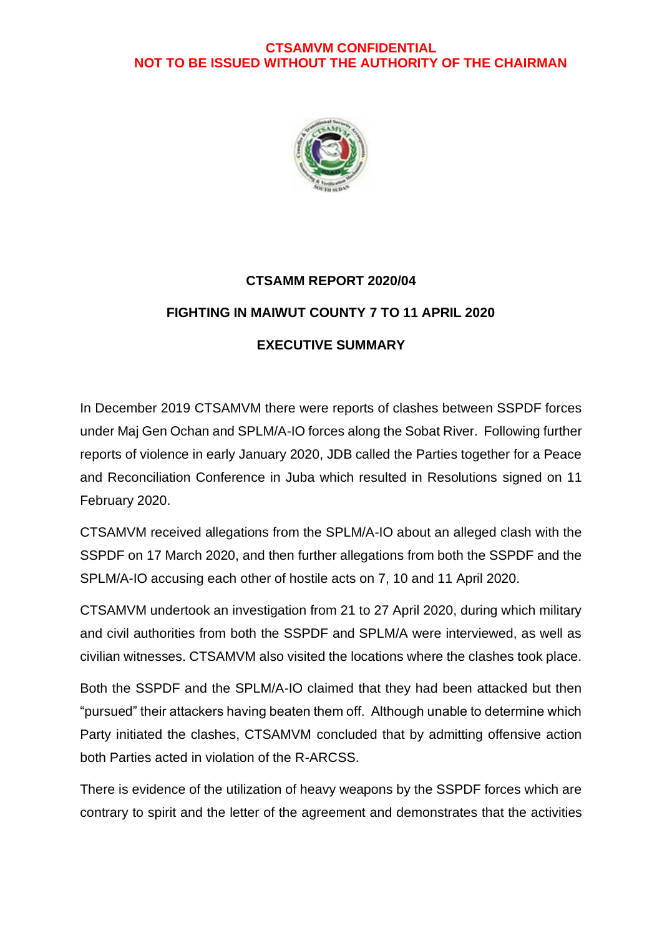#### **CTSAMVM CONFIDENTIAL NOT TO BE ISSUED WITHOUT THE AUTHORITY OF THE CHAIRMAN**



# **CTSAMM REPORT 2020/04 FIGHTING IN MAIWUT COUNTY 7 TO 11 APRIL 2020 EXECUTIVE SUMMARY**

In December 2019 CTSAMVM there were reports of clashes between SSPDF forces under Maj Gen Ochan and SPLM/A-IO forces along the Sobat River. Following further reports of violence in early January 2020, JDB called the Parties together for a Peace and Reconciliation Conference in Juba which resulted in Resolutions signed on 11 February 2020.

CTSAMVM received allegations from the SPLM/A-IO about an alleged clash with the SSPDF on 17 March 2020, and then further allegations from both the SSPDF and the SPLM/A-IO accusing each other of hostile acts on 7, 10 and 11 April 2020.

CTSAMVM undertook an investigation from 21 to 27 April 2020, during which military and civil authorities from both the SSPDF and SPLM/A were interviewed, as well as civilian witnesses. CTSAMVM also visited the locations where the clashes took place.

Both the SSPDF and the SPLM/A-IO claimed that they had been attacked but then "pursued" their attackers having beaten them off. Although unable to determine which Party initiated the clashes, CTSAMVM concluded that by admitting offensive action both Parties acted in violation of the R-ARCSS.

There is evidence of the utilization of heavy weapons by the SSPDF forces which are contrary to spirit and the letter of the agreement and demonstrates that the activities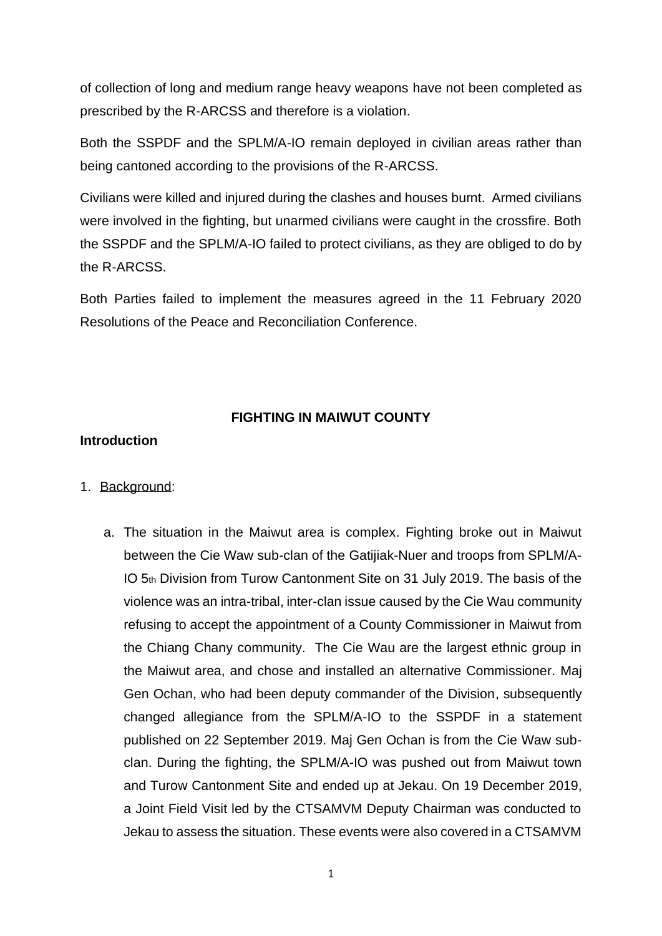of collection of long and medium range heavy weapons have not been completed as prescribed by the R-ARCSS and therefore is a violation.

Both the SSPDF and the SPLM/A-IO remain deployed in civilian areas rather than being cantoned according to the provisions of the R-ARCSS.

Civilians were killed and injured during the clashes and houses burnt. Armed civilians were involved in the fighting, but unarmed civilians were caught in the crossfire. Both the SSPDF and the SPLM/A-IO failed to protect civilians, as they are obliged to do by the R-ARCSS.

Both Parties failed to implement the measures agreed in the 11 February 2020 Resolutions of the Peace and Reconciliation Conference.

## **FIGHTING IN MAIWUT COUNTY**

#### **Introduction**

#### 1. Background:

a. The situation in the Maiwut area is complex. Fighting broke out in Maiwut between the Cie Waw sub-clan of the Gatijiak-Nuer and troops from SPLM/A-IO 5th Division from Turow Cantonment Site on 31 July 2019. The basis of the violence was an intra-tribal, inter-clan issue caused by the Cie Wau community refusing to accept the appointment of a County Commissioner in Maiwut from the Chiang Chany community. The Cie Wau are the largest ethnic group in the Maiwut area, and chose and installed an alternative Commissioner. Maj Gen Ochan, who had been deputy commander of the Division, subsequently changed allegiance from the SPLM/A-IO to the SSPDF in a statement published on 22 September 2019. Maj Gen Ochan is from the Cie Waw subclan. During the fighting, the SPLM/A-IO was pushed out from Maiwut town and Turow Cantonment Site and ended up at Jekau. On 19 December 2019, a Joint Field Visit led by the CTSAMVM Deputy Chairman was conducted to Jekau to assess the situation. These events were also covered in a CTSAMVM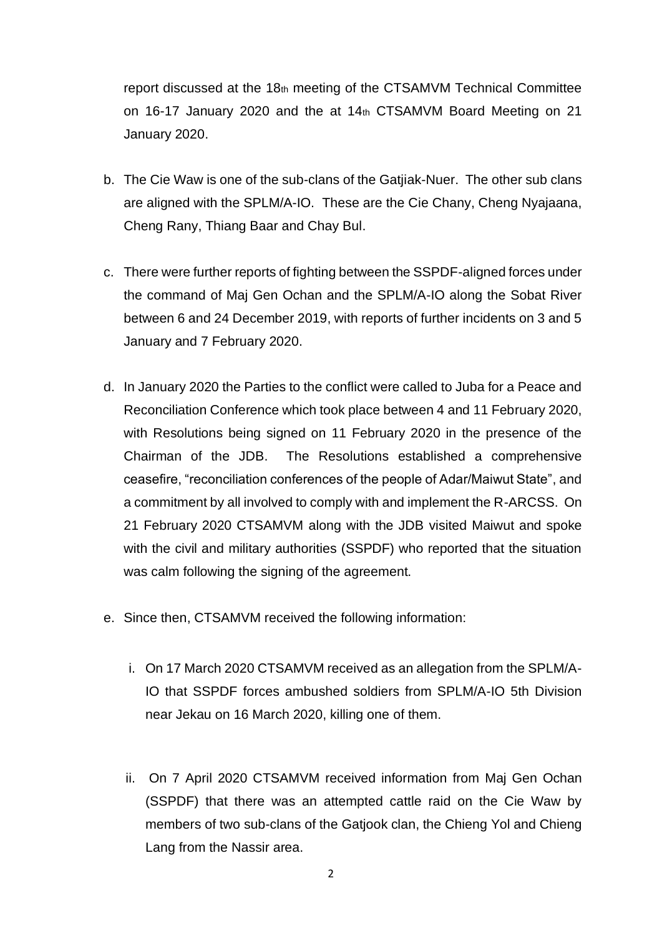report discussed at the 18th meeting of the CTSAMVM Technical Committee on 16-17 January 2020 and the at 14th CTSAMVM Board Meeting on 21 January 2020.

- b. The Cie Waw is one of the sub-clans of the Gatjiak-Nuer. The other sub clans are aligned with the SPLM/A-IO. These are the Cie Chany, Cheng Nyajaana, Cheng Rany, Thiang Baar and Chay Bul.
- c. There were further reports of fighting between the SSPDF-aligned forces under the command of Maj Gen Ochan and the SPLM/A-IO along the Sobat River between 6 and 24 December 2019, with reports of further incidents on 3 and 5 January and 7 February 2020.
- d. In January 2020 the Parties to the conflict were called to Juba for a Peace and Reconciliation Conference which took place between 4 and 11 February 2020, with Resolutions being signed on 11 February 2020 in the presence of the Chairman of the JDB. The Resolutions established a comprehensive ceasefire, "reconciliation conferences of the people of Adar/Maiwut State", and a commitment by all involved to comply with and implement the R-ARCSS. On 21 February 2020 CTSAMVM along with the JDB visited Maiwut and spoke with the civil and military authorities (SSPDF) who reported that the situation was calm following the signing of the agreement.
- e. Since then, CTSAMVM received the following information:
	- i. On 17 March 2020 CTSAMVM received as an allegation from the SPLM/A-IO that SSPDF forces ambushed soldiers from SPLM/A-IO 5th Division near Jekau on 16 March 2020, killing one of them.
	- ii. On 7 April 2020 CTSAMVM received information from Maj Gen Ochan (SSPDF) that there was an attempted cattle raid on the Cie Waw by members of two sub-clans of the Gatjook clan, the Chieng Yol and Chieng Lang from the Nassir area.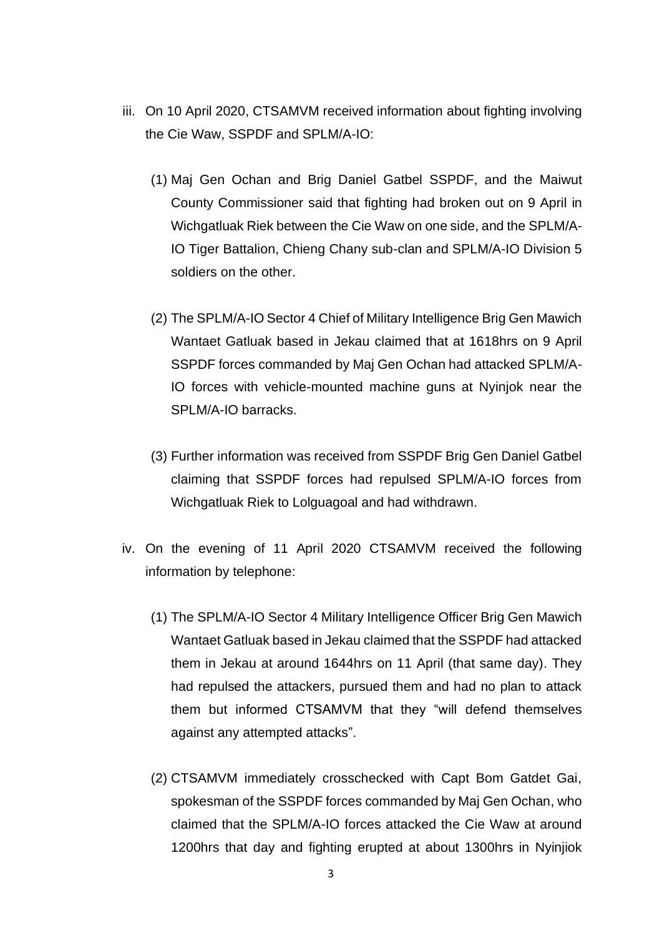- iii. On 10 April 2020, CTSAMVM received information about fighting involving the Cie Waw, SSPDF and SPLM/A-IO:
	- (1) Maj Gen Ochan and Brig Daniel Gatbel SSPDF, and the Maiwut County Commissioner said that fighting had broken out on 9 April in Wichgatluak Riek between the Cie Waw on one side, and the SPLM/A-IO Tiger Battalion, Chieng Chany sub-clan and SPLM/A-IO Division 5 soldiers on the other.
	- (2) The SPLM/A-IO Sector 4 Chief of Military Intelligence Brig Gen Mawich Wantaet Gatluak based in Jekau claimed that at 1618hrs on 9 April SSPDF forces commanded by Maj Gen Ochan had attacked SPLM/A-IO forces with vehicle-mounted machine guns at Nyinjok near the SPLM/A-IO barracks.
	- (3) Further information was received from SSPDF Brig Gen Daniel Gatbel claiming that SSPDF forces had repulsed SPLM/A-IO forces from Wichgatluak Riek to Lolguagoal and had withdrawn.
- iv. On the evening of 11 April 2020 CTSAMVM received the following information by telephone:
	- (1) The SPLM/A-IO Sector 4 Military Intelligence Officer Brig Gen Mawich Wantaet Gatluak based in Jekau claimed that the SSPDF had attacked them in Jekau at around 1644hrs on 11 April (that same day). They had repulsed the attackers, pursued them and had no plan to attack them but informed CTSAMVM that they "will defend themselves against any attempted attacks".
	- (2) CTSAMVM immediately crosschecked with Capt Bom Gatdet Gai, spokesman of the SSPDF forces commanded by Maj Gen Ochan, who claimed that the SPLM/A-IO forces attacked the Cie Waw at around 1200hrs that day and fighting erupted at about 1300hrs in Nyinjiok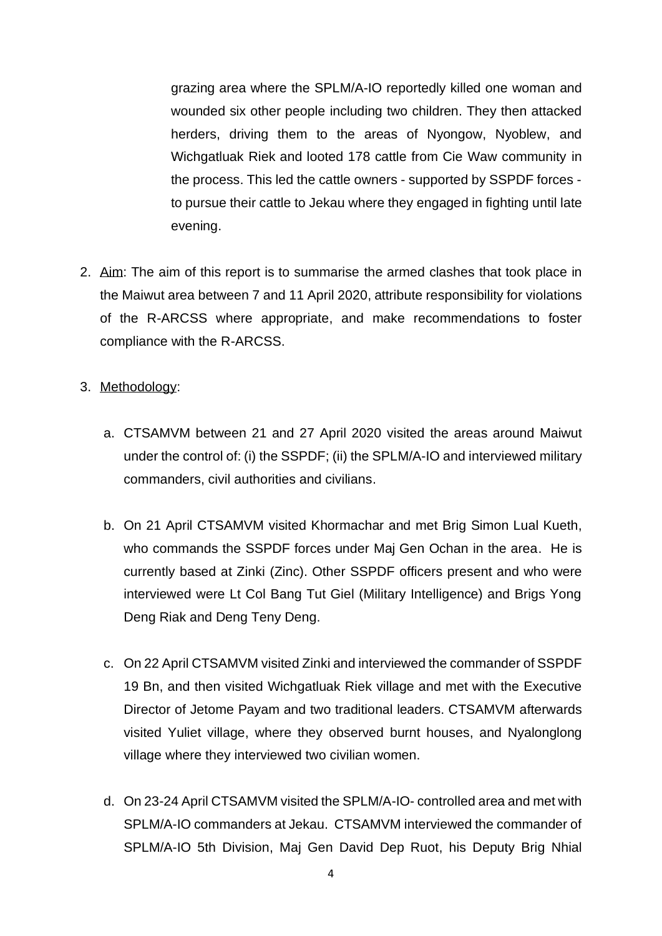grazing area where the SPLM/A-IO reportedly killed one woman and wounded six other people including two children. They then attacked herders, driving them to the areas of Nyongow, Nyoblew, and Wichgatluak Riek and looted 178 cattle from Cie Waw community in the process. This led the cattle owners - supported by SSPDF forces to pursue their cattle to Jekau where they engaged in fighting until late evening.

2. Aim: The aim of this report is to summarise the armed clashes that took place in the Maiwut area between 7 and 11 April 2020, attribute responsibility for violations of the R-ARCSS where appropriate, and make recommendations to foster compliance with the R-ARCSS.

#### 3. Methodology:

- a. CTSAMVM between 21 and 27 April 2020 visited the areas around Maiwut under the control of: (i) the SSPDF; (ii) the SPLM/A-IO and interviewed military commanders, civil authorities and civilians.
- b. On 21 April CTSAMVM visited Khormachar and met Brig Simon Lual Kueth, who commands the SSPDF forces under Maj Gen Ochan in the area. He is currently based at Zinki (Zinc). Other SSPDF officers present and who were interviewed were Lt Col Bang Tut Giel (Military Intelligence) and Brigs Yong Deng Riak and Deng Teny Deng.
- c. On 22 April CTSAMVM visited Zinki and interviewed the commander of SSPDF 19 Bn, and then visited Wichgatluak Riek village and met with the Executive Director of Jetome Payam and two traditional leaders. CTSAMVM afterwards visited Yuliet village, where they observed burnt houses, and Nyalonglong village where they interviewed two civilian women.
- d. On 23-24 April CTSAMVM visited the SPLM/A-IO- controlled area and met with SPLM/A-IO commanders at Jekau. CTSAMVM interviewed the commander of SPLM/A-IO 5th Division, Maj Gen David Dep Ruot, his Deputy Brig Nhial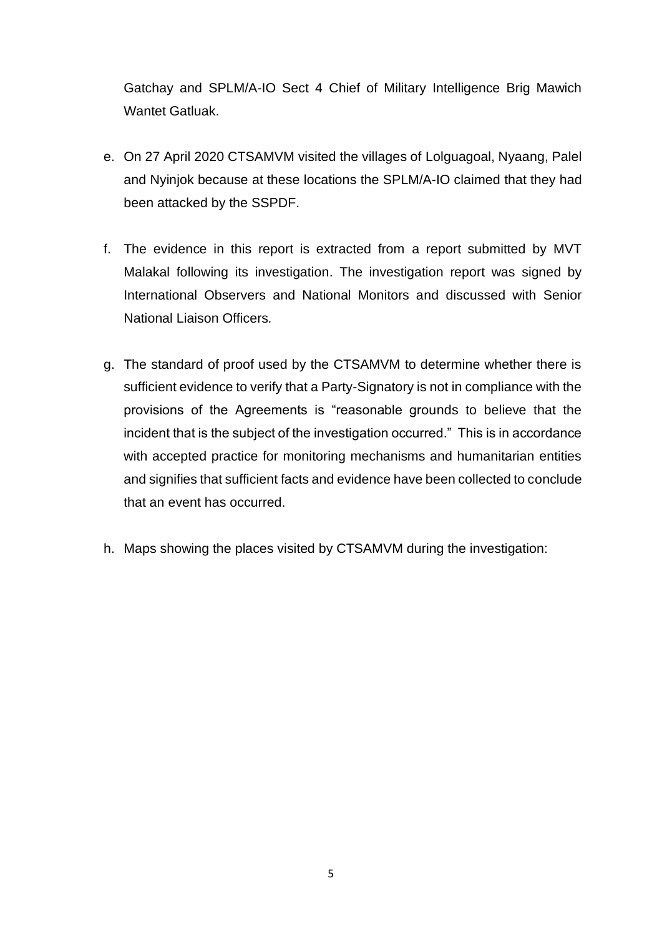Gatchay and SPLM/A-IO Sect 4 Chief of Military Intelligence Brig Mawich Wantet Gatluak.

- e. On 27 April 2020 CTSAMVM visited the villages of Lolguagoal, Nyaang, Palel and Nyinjok because at these locations the SPLM/A-IO claimed that they had been attacked by the SSPDF.
- f. The evidence in this report is extracted from a report submitted by MVT Malakal following its investigation. The investigation report was signed by International Observers and National Monitors and discussed with Senior National Liaison Officers*.*
- g. The standard of proof used by the CTSAMVM to determine whether there is sufficient evidence to verify that a Party-Signatory is not in compliance with the provisions of the Agreements is "reasonable grounds to believe that the incident that is the subject of the investigation occurred." This is in accordance with accepted practice for monitoring mechanisms and humanitarian entities and signifies that sufficient facts and evidence have been collected to conclude that an event has occurred.
- h. Maps showing the places visited by CTSAMVM during the investigation: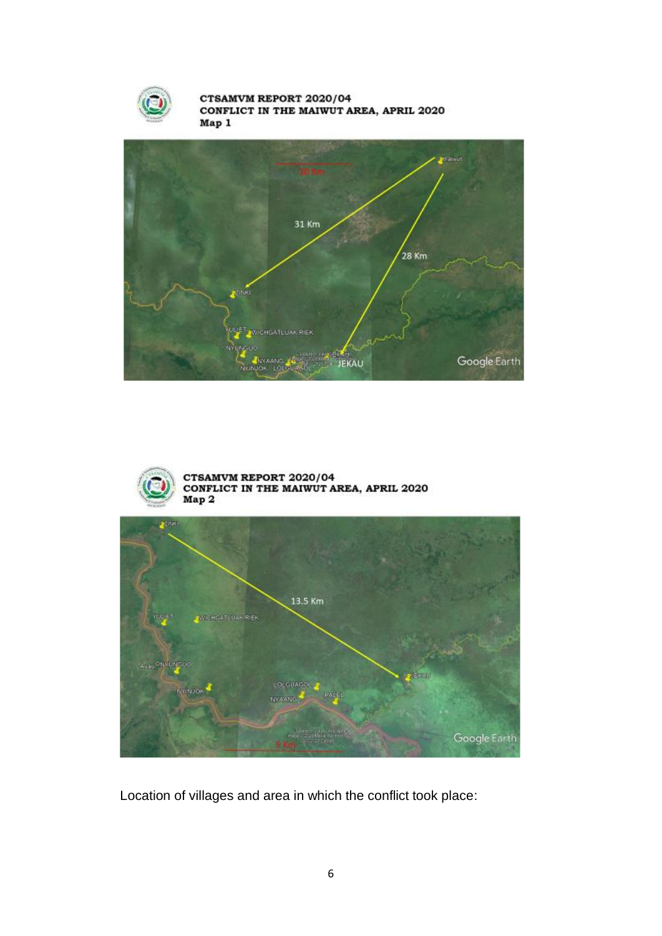

CTSAMVM REPORT 2020/04 CONFLICT IN THE MAIWUT AREA, APRIL 2020 Map 1





CTSAMVM REPORT 2020/04<br>CONFLICT IN THE MAIWUT AREA, APRIL 2020 Map 2



Location of villages and area in which the conflict took place: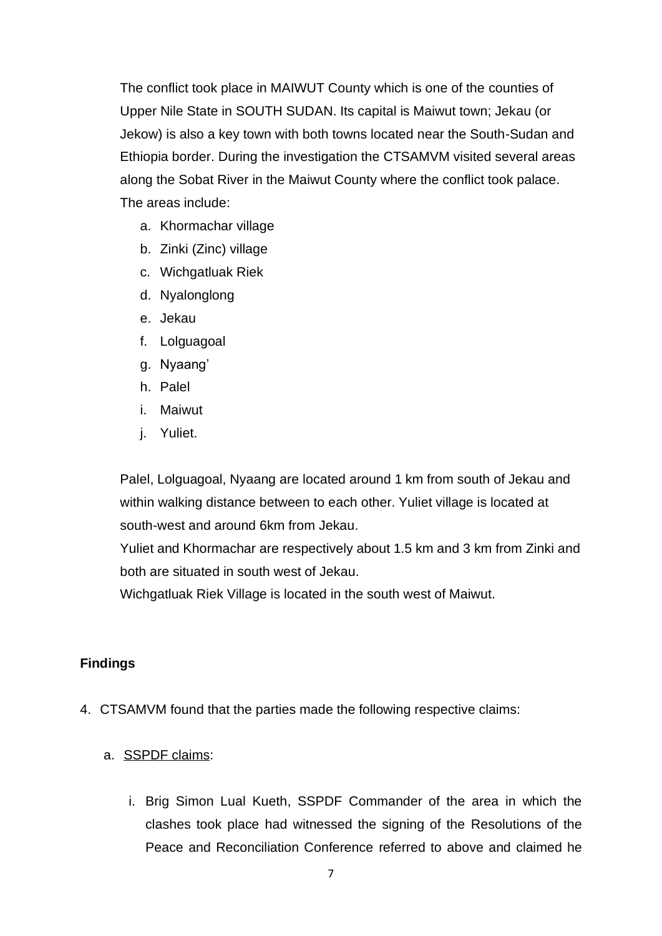The conflict took place in MAIWUT County which is one of the counties of Upper Nile State in SOUTH SUDAN. Its capital is Maiwut town; Jekau (or Jekow) is also a key town with both towns located near the South-Sudan and Ethiopia border. During the investigation the CTSAMVM visited several areas along the Sobat River in the Maiwut County where the conflict took palace. The areas include:

- a. Khormachar village
- b. Zinki (Zinc) village
- c. Wichgatluak Riek
- d. Nyalonglong
- e. Jekau
- f. Lolguagoal
- g. Nyaang'
- h. Palel
- i. Maiwut
- j. Yuliet.

Palel, Lolguagoal, Nyaang are located around 1 km from south of Jekau and within walking distance between to each other. Yuliet village is located at south-west and around 6km from Jekau.

Yuliet and Khormachar are respectively about 1.5 km and 3 km from Zinki and both are situated in south west of Jekau.

Wichgatluak Riek Village is located in the south west of Maiwut.

#### **Findings**

- 4. CTSAMVM found that the parties made the following respective claims:
	- a. SSPDF claims:
		- i. Brig Simon Lual Kueth, SSPDF Commander of the area in which the clashes took place had witnessed the signing of the Resolutions of the Peace and Reconciliation Conference referred to above and claimed he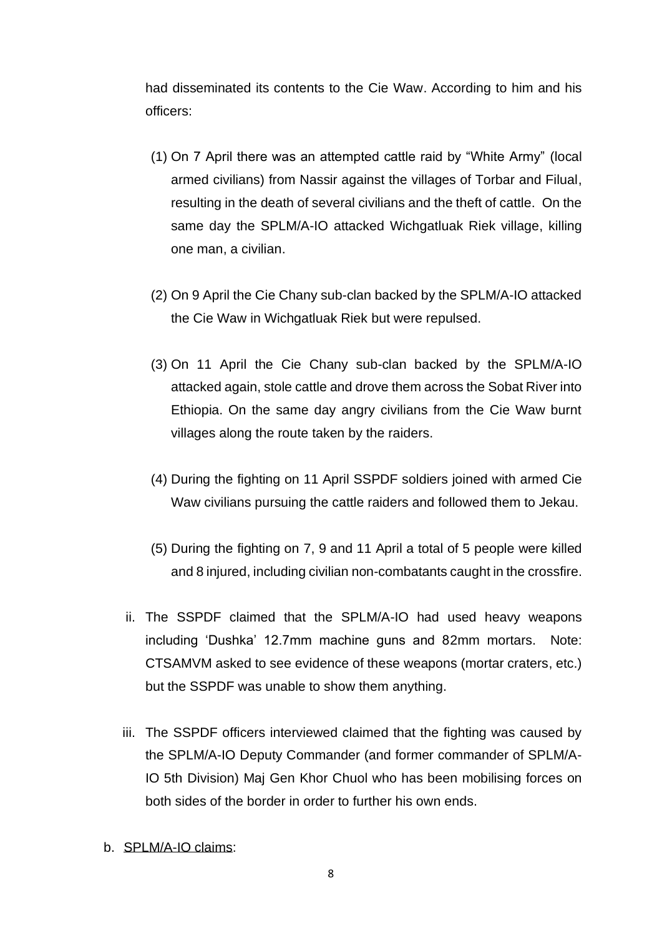had disseminated its contents to the Cie Waw. According to him and his officers:

- (1) On 7 April there was an attempted cattle raid by "White Army" (local armed civilians) from Nassir against the villages of Torbar and Filual, resulting in the death of several civilians and the theft of cattle. On the same day the SPLM/A-IO attacked Wichgatluak Riek village, killing one man, a civilian.
- (2) On 9 April the Cie Chany sub-clan backed by the SPLM/A-IO attacked the Cie Waw in Wichgatluak Riek but were repulsed.
- (3) On 11 April the Cie Chany sub-clan backed by the SPLM/A-IO attacked again, stole cattle and drove them across the Sobat River into Ethiopia. On the same day angry civilians from the Cie Waw burnt villages along the route taken by the raiders.
- (4) During the fighting on 11 April SSPDF soldiers joined with armed Cie Waw civilians pursuing the cattle raiders and followed them to Jekau.
- (5) During the fighting on 7, 9 and 11 April a total of 5 people were killed and 8 injured, including civilian non-combatants caught in the crossfire.
- ii. The SSPDF claimed that the SPLM/A-IO had used heavy weapons including 'Dushka' 12.7mm machine guns and 82mm mortars. Note: CTSAMVM asked to see evidence of these weapons (mortar craters, etc.) but the SSPDF was unable to show them anything.
- iii. The SSPDF officers interviewed claimed that the fighting was caused by the SPLM/A-IO Deputy Commander (and former commander of SPLM/A-IO 5th Division) Maj Gen Khor Chuol who has been mobilising forces on both sides of the border in order to further his own ends.
- b. SPLM/A-IO claims: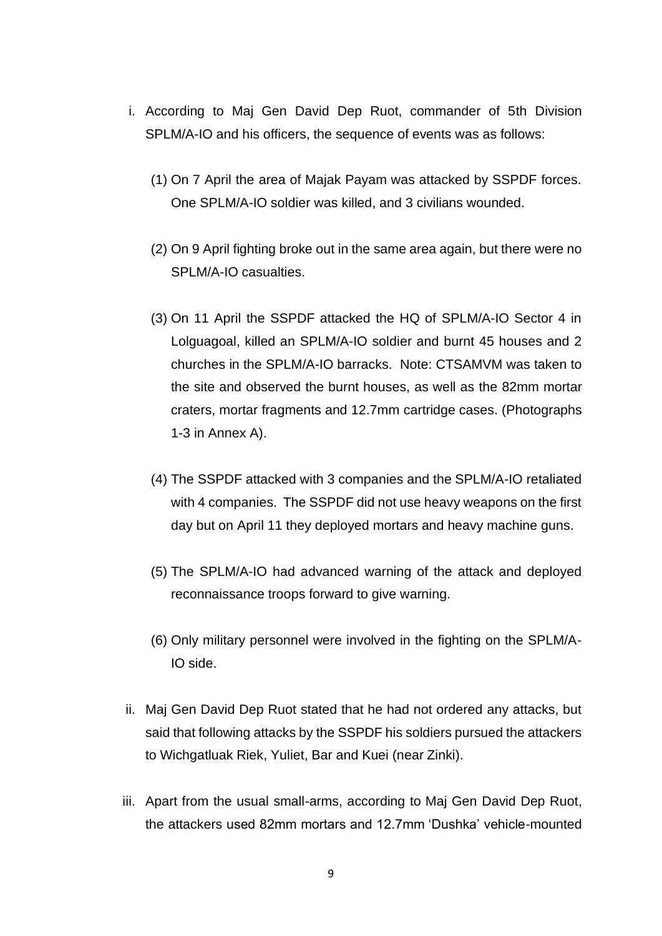- i. According to Maj Gen David Dep Ruot, commander of 5th Division SPLM/A-IO and his officers, the sequence of events was as follows:
	- (1) On 7 April the area of Majak Payam was attacked by SSPDF forces. One SPLM/A-IO soldier was killed, and 3 civilians wounded.
	- (2) On 9 April fighting broke out in the same area again, but there were no SPLM/A-IO casualties.
	- (3) On 11 April the SSPDF attacked the HQ of SPLM/A-IO Sector 4 in Lolguagoal, killed an SPLM/A-IO soldier and burnt 45 houses and 2 churches in the SPLM/A-IO barracks. Note: CTSAMVM was taken to the site and observed the burnt houses, as well as the 82mm mortar craters, mortar fragments and 12.7mm cartridge cases. (Photographs 1-3 in Annex A).
	- (4) The SSPDF attacked with 3 companies and the SPLM/A-IO retaliated with 4 companies. The SSPDF did not use heavy weapons on the first day but on April 11 they deployed mortars and heavy machine guns.
	- (5) The SPLM/A-IO had advanced warning of the attack and deployed reconnaissance troops forward to give warning.
	- (6) Only military personnel were involved in the fighting on the SPLM/A-IO side.
- ii. Maj Gen David Dep Ruot stated that he had not ordered any attacks, but said that following attacks by the SSPDF his soldiers pursued the attackers to Wichgatluak Riek, Yuliet, Bar and Kuei (near Zinki).
- iii. Apart from the usual small-arms, according to Maj Gen David Dep Ruot, the attackers used 82mm mortars and 12.7mm 'Dushka' vehicle-mounted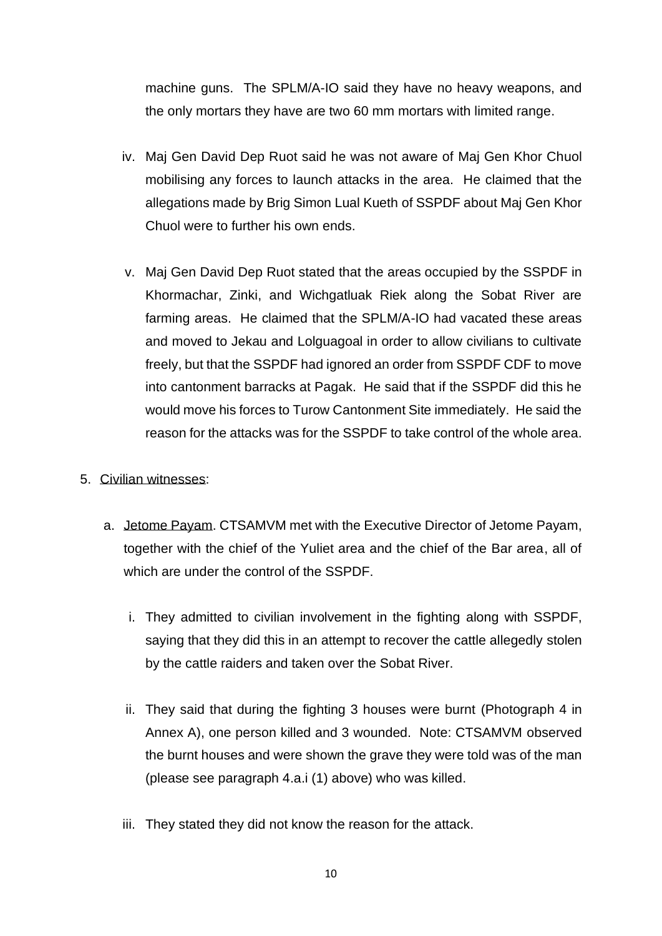machine guns. The SPLM/A-IO said they have no heavy weapons, and the only mortars they have are two 60 mm mortars with limited range.

- iv. Maj Gen David Dep Ruot said he was not aware of Maj Gen Khor Chuol mobilising any forces to launch attacks in the area. He claimed that the allegations made by Brig Simon Lual Kueth of SSPDF about Maj Gen Khor Chuol were to further his own ends.
- v. Maj Gen David Dep Ruot stated that the areas occupied by the SSPDF in Khormachar, Zinki, and Wichgatluak Riek along the Sobat River are farming areas. He claimed that the SPLM/A-IO had vacated these areas and moved to Jekau and Lolguagoal in order to allow civilians to cultivate freely, but that the SSPDF had ignored an order from SSPDF CDF to move into cantonment barracks at Pagak. He said that if the SSPDF did this he would move his forces to Turow Cantonment Site immediately. He said the reason for the attacks was for the SSPDF to take control of the whole area.

#### 5. Civilian witnesses:

- a. Jetome Payam. CTSAMVM met with the Executive Director of Jetome Payam, together with the chief of the Yuliet area and the chief of the Bar area, all of which are under the control of the SSPDF.
	- i. They admitted to civilian involvement in the fighting along with SSPDF, saying that they did this in an attempt to recover the cattle allegedly stolen by the cattle raiders and taken over the Sobat River.
	- ii. They said that during the fighting 3 houses were burnt (Photograph 4 in Annex A), one person killed and 3 wounded. Note: CTSAMVM observed the burnt houses and were shown the grave they were told was of the man (please see paragraph 4.a.i (1) above) who was killed.
	- iii. They stated they did not know the reason for the attack.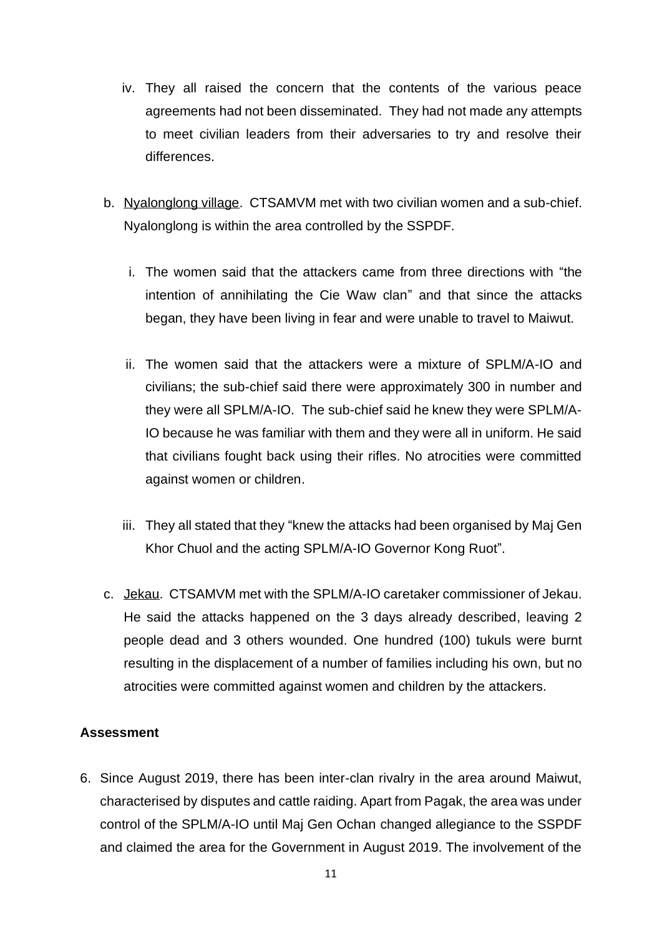- iv. They all raised the concern that the contents of the various peace agreements had not been disseminated. They had not made any attempts to meet civilian leaders from their adversaries to try and resolve their differences.
- b. Nyalonglong village. CTSAMVM met with two civilian women and a sub-chief. Nyalonglong is within the area controlled by the SSPDF.
	- i. The women said that the attackers came from three directions with "the intention of annihilating the Cie Waw clan" and that since the attacks began, they have been living in fear and were unable to travel to Maiwut.
	- ii. The women said that the attackers were a mixture of SPLM/A-IO and civilians; the sub-chief said there were approximately 300 in number and they were all SPLM/A-IO. The sub-chief said he knew they were SPLM/A-IO because he was familiar with them and they were all in uniform. He said that civilians fought back using their rifles. No atrocities were committed against women or children.
	- iii. They all stated that they "knew the attacks had been organised by Maj Gen Khor Chuol and the acting SPLM/A-IO Governor Kong Ruot".
- c. Jekau. CTSAMVM met with the SPLM/A-IO caretaker commissioner of Jekau. He said the attacks happened on the 3 days already described, leaving 2 people dead and 3 others wounded. One hundred (100) tukuls were burnt resulting in the displacement of a number of families including his own, but no atrocities were committed against women and children by the attackers.

## **Assessment**

6. Since August 2019, there has been inter-clan rivalry in the area around Maiwut, characterised by disputes and cattle raiding. Apart from Pagak, the area was under control of the SPLM/A-IO until Maj Gen Ochan changed allegiance to the SSPDF and claimed the area for the Government in August 2019. The involvement of the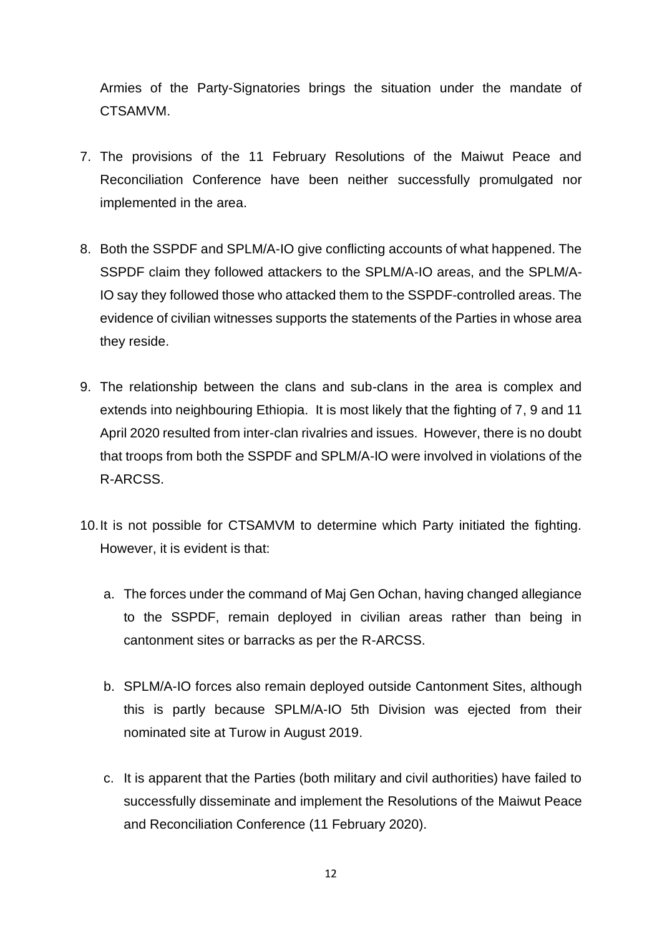Armies of the Party-Signatories brings the situation under the mandate of CTSAMVM.

- 7. The provisions of the 11 February Resolutions of the Maiwut Peace and Reconciliation Conference have been neither successfully promulgated nor implemented in the area.
- 8. Both the SSPDF and SPLM/A-IO give conflicting accounts of what happened. The SSPDF claim they followed attackers to the SPLM/A-IO areas, and the SPLM/A-IO say they followed those who attacked them to the SSPDF-controlled areas. The evidence of civilian witnesses supports the statements of the Parties in whose area they reside.
- 9. The relationship between the clans and sub-clans in the area is complex and extends into neighbouring Ethiopia. It is most likely that the fighting of 7, 9 and 11 April 2020 resulted from inter-clan rivalries and issues. However, there is no doubt that troops from both the SSPDF and SPLM/A-IO were involved in violations of the R-ARCSS.
- 10.It is not possible for CTSAMVM to determine which Party initiated the fighting. However, it is evident is that:
	- a. The forces under the command of Maj Gen Ochan, having changed allegiance to the SSPDF, remain deployed in civilian areas rather than being in cantonment sites or barracks as per the R-ARCSS.
	- b. SPLM/A-IO forces also remain deployed outside Cantonment Sites, although this is partly because SPLM/A-IO 5th Division was ejected from their nominated site at Turow in August 2019.
	- c. It is apparent that the Parties (both military and civil authorities) have failed to successfully disseminate and implement the Resolutions of the Maiwut Peace and Reconciliation Conference (11 February 2020).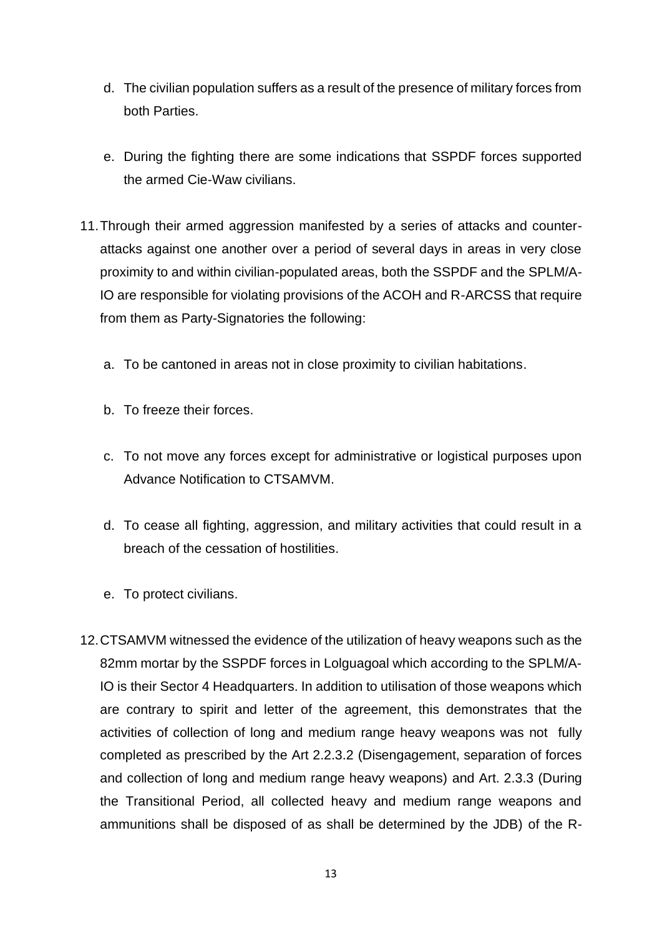- d. The civilian population suffers as a result of the presence of military forces from both Parties.
- e. During the fighting there are some indications that SSPDF forces supported the armed Cie-Waw civilians.
- 11.Through their armed aggression manifested by a series of attacks and counterattacks against one another over a period of several days in areas in very close proximity to and within civilian-populated areas, both the SSPDF and the SPLM/A-IO are responsible for violating provisions of the ACOH and R-ARCSS that require from them as Party-Signatories the following:
	- a. To be cantoned in areas not in close proximity to civilian habitations.
	- b. To freeze their forces.
	- c. To not move any forces except for administrative or logistical purposes upon Advance Notification to CTSAMVM.
	- d. To cease all fighting, aggression, and military activities that could result in a breach of the cessation of hostilities.
	- e. To protect civilians.
- 12.CTSAMVM witnessed the evidence of the utilization of heavy weapons such as the 82mm mortar by the SSPDF forces in Lolguagoal which according to the SPLM/A-IO is their Sector 4 Headquarters. In addition to utilisation of those weapons which are contrary to spirit and letter of the agreement, this demonstrates that the activities of collection of long and medium range heavy weapons was not fully completed as prescribed by the Art 2.2.3.2 (Disengagement, separation of forces and collection of long and medium range heavy weapons) and Art. 2.3.3 (During the Transitional Period, all collected heavy and medium range weapons and ammunitions shall be disposed of as shall be determined by the JDB) of the R-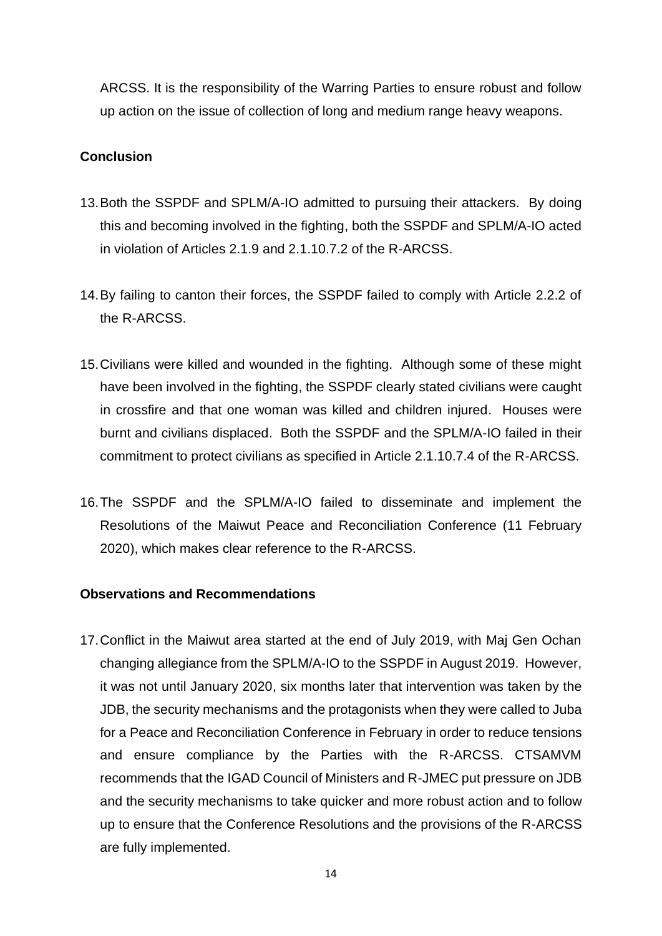ARCSS. It is the responsibility of the Warring Parties to ensure robust and follow up action on the issue of collection of long and medium range heavy weapons.

#### **Conclusion**

- 13.Both the SSPDF and SPLM/A-IO admitted to pursuing their attackers. By doing this and becoming involved in the fighting, both the SSPDF and SPLM/A-IO acted in violation of Articles 2.1.9 and 2.1.10.7.2 of the R-ARCSS.
- 14.By failing to canton their forces, the SSPDF failed to comply with Article 2.2.2 of the R-ARCSS.
- 15.Civilians were killed and wounded in the fighting. Although some of these might have been involved in the fighting, the SSPDF clearly stated civilians were caught in crossfire and that one woman was killed and children injured. Houses were burnt and civilians displaced. Both the SSPDF and the SPLM/A-IO failed in their commitment to protect civilians as specified in Article 2.1.10.7.4 of the R-ARCSS.
- 16.The SSPDF and the SPLM/A-IO failed to disseminate and implement the Resolutions of the Maiwut Peace and Reconciliation Conference (11 February 2020), which makes clear reference to the R-ARCSS.

#### **Observations and Recommendations**

17.Conflict in the Maiwut area started at the end of July 2019, with Maj Gen Ochan changing allegiance from the SPLM/A-IO to the SSPDF in August 2019. However, it was not until January 2020, six months later that intervention was taken by the JDB, the security mechanisms and the protagonists when they were called to Juba for a Peace and Reconciliation Conference in February in order to reduce tensions and ensure compliance by the Parties with the R-ARCSS. CTSAMVM recommends that the IGAD Council of Ministers and R-JMEC put pressure on JDB and the security mechanisms to take quicker and more robust action and to follow up to ensure that the Conference Resolutions and the provisions of the R-ARCSS are fully implemented.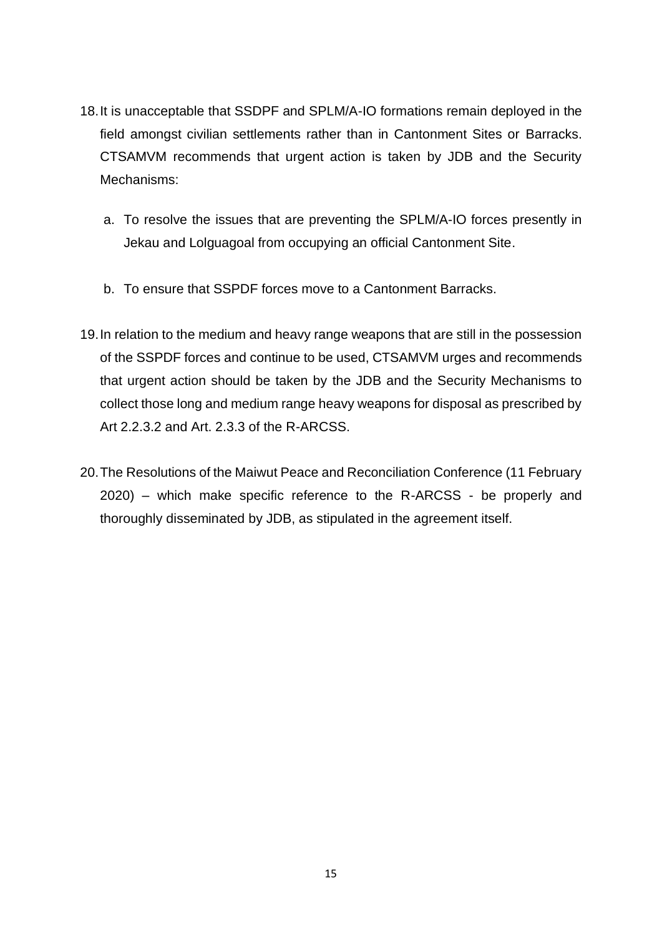- 18.It is unacceptable that SSDPF and SPLM/A-IO formations remain deployed in the field amongst civilian settlements rather than in Cantonment Sites or Barracks. CTSAMVM recommends that urgent action is taken by JDB and the Security Mechanisms:
	- a. To resolve the issues that are preventing the SPLM/A-IO forces presently in Jekau and Lolguagoal from occupying an official Cantonment Site.
	- b. To ensure that SSPDF forces move to a Cantonment Barracks.
- 19.In relation to the medium and heavy range weapons that are still in the possession of the SSPDF forces and continue to be used, CTSAMVM urges and recommends that urgent action should be taken by the JDB and the Security Mechanisms to collect those long and medium range heavy weapons for disposal as prescribed by Art 2.2.3.2 and Art. 2.3.3 of the R-ARCSS.
- 20.The Resolutions of the Maiwut Peace and Reconciliation Conference (11 February 2020) – which make specific reference to the R-ARCSS - be properly and thoroughly disseminated by JDB, as stipulated in the agreement itself.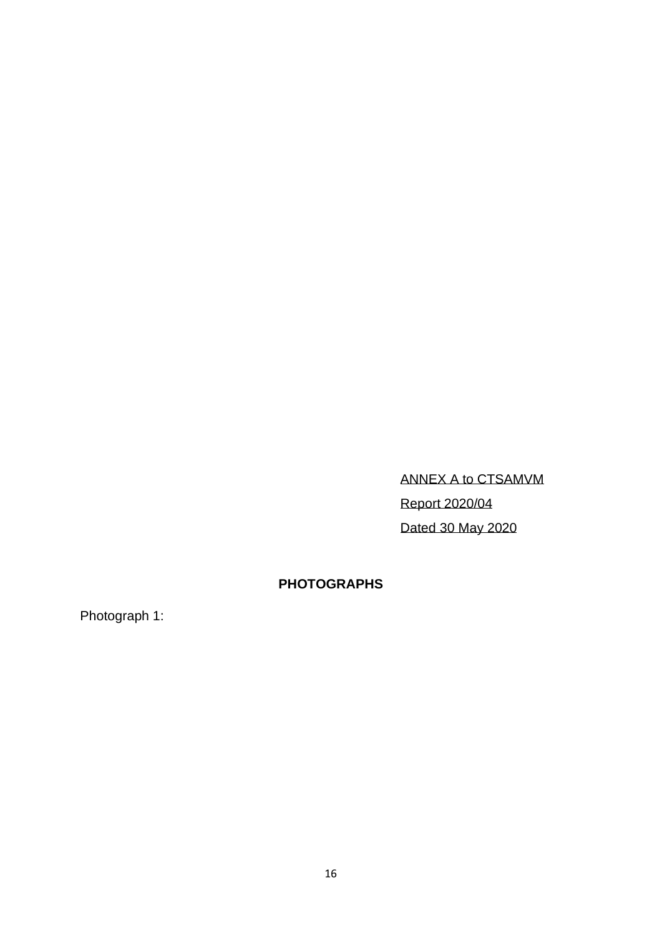ANNEX A to CTSAMVM Report 2020/04 Dated 30 May 2020

# **PHOTOGRAPHS**

Photograph 1: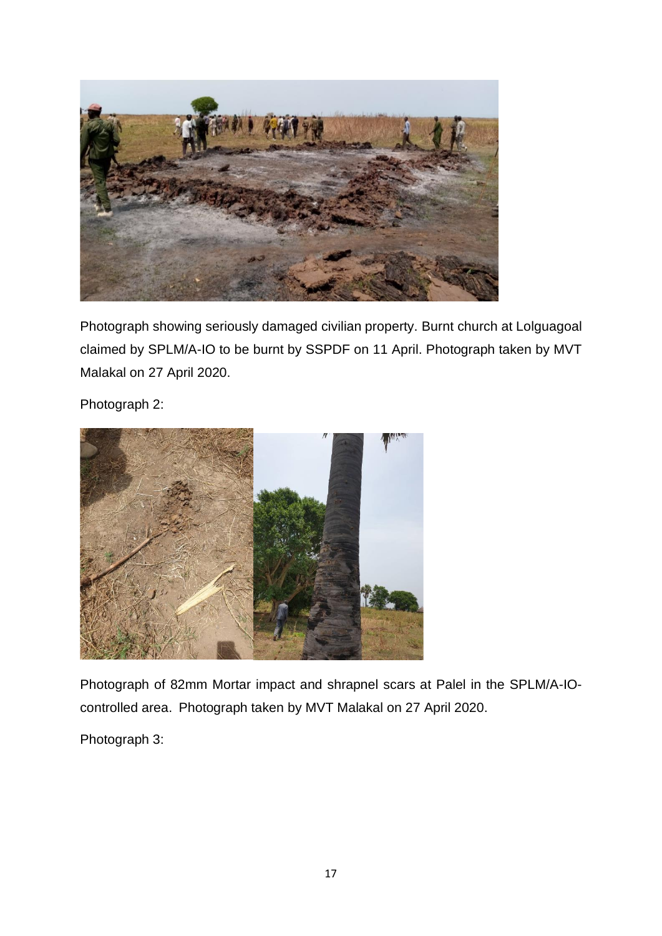

Photograph showing seriously damaged civilian property. Burnt church at Lolguagoal claimed by SPLM/A-IO to be burnt by SSPDF on 11 April. Photograph taken by MVT Malakal on 27 April 2020.

Photograph 2:



Photograph of 82mm Mortar impact and shrapnel scars at Palel in the SPLM/A-IOcontrolled area. Photograph taken by MVT Malakal on 27 April 2020.

Photograph 3: